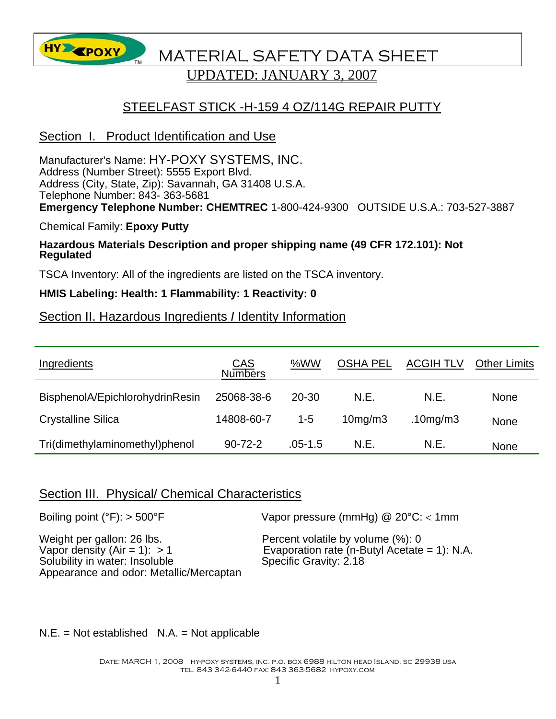

# **HY EPOXY** MATERIAL SAFETY DATA SHEET UPDATED: JANUARY 3, 2007

# STEELFAST STICK -H-159 4 OZ/114G REPAIR PUTTY

### Section I. Product Identification and Use

Manufacturer's Name: HY-POXY SYSTEMS, INC. Address (Number Street): 5555 Export Blvd. Address (City, State, Zip): Savannah, GA 31408 U.S.A. Telephone Number: 843- 363-5681 **Emergency Telephone Number: CHEMTREC** 1-800-424-9300 OUTSIDE U.S.A.: 703-527-3887

Chemical Family: **Epoxy Putty** 

# **Hazardous Materials Description and proper shipping name (49 CFR 172.101): Not Regulated**

TSCA Inventory: All of the ingredients are listed on the TSCA inventory.

#### **HMIS Labeling: Health: 1 Flammability: 1 Reactivity: 0**

# Section II. Hazardous Ingredients *I* Identity Information

| Ingredients                     | CAS<br>Numbers | %WW         | <b>OSHA PEL</b> | <b>ACGIH TLV</b> | <b>Other Limits</b> |
|---------------------------------|----------------|-------------|-----------------|------------------|---------------------|
| BisphenolA/EpichlorohydrinResin | 25068-38-6     | 20-30       | N.E.            | N.E.             | <b>None</b>         |
| <b>Crystalline Silica</b>       | 14808-60-7     | $1 - 5$     | $10$ mg/m $3$   | $.10$ mg/m $3$   | None                |
| Tri(dimethylaminomethyl)phenol  | $90 - 72 - 2$  | $.05 - 1.5$ | N.E.            | N.E.             | None                |

#### Section III. Physical/ Chemical Characteristics

| Boiling point ( $\degree$ F): > 500 $\degree$ F                                                                                           | Vapor pressure (mmHg) $@$ 20 $°C$ : < 1mm                                                                   |
|-------------------------------------------------------------------------------------------------------------------------------------------|-------------------------------------------------------------------------------------------------------------|
| Weight per gallon: 26 lbs.<br>Vapor density (Air = 1): $> 1$<br>Solubility in water: Insoluble<br>Appearance and odor: Metallic/Mercaptan | Percent volatile by volume (%): 0<br>Evaporation rate (n-Butyl Acetate = 1): N.A.<br>Specific Gravity: 2.18 |

 $N.E. = Not established N.A. = Not applicable$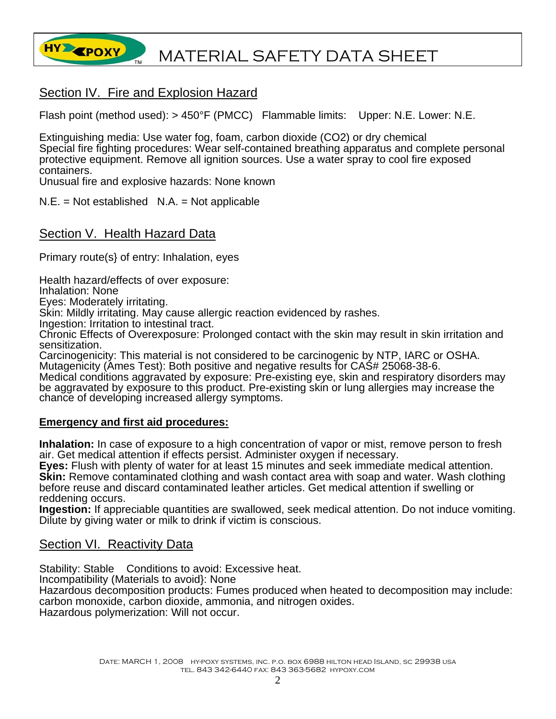

# Section IV. Fire and Explosion Hazard

Flash point (method used): > 450°F (PMCC) Flammable limits: Upper: N.E. Lower: N.E.

Extinguishing media: Use water fog, foam, carbon dioxide (CO2) or dry chemical Special fire fighting procedures: Wear self-contained breathing apparatus and complete personal protective equipment. Remove all ignition sources. Use a water spray to cool fire exposed containers.

Unusual fire and explosive hazards: None known

 $N.E. = Not established N.A. = Not applicable$ 

#### Section V. Health Hazard Data

Primary route(s} of entry: Inhalation, eyes

Health hazard/effects of over exposure:

Inhalation: None

Eyes: Moderately irritating.

Skin: Mildly irritating. May cause allergic reaction evidenced by rashes.

Ingestion: Irritation to intestinal tract.

Chronic Effects of Overexposure: Prolonged contact with the skin may result in skin irritation and sensitization.

Carcinogenicity: This material is not considered to be carcinogenic by NTP, IARC or OSHA. Mutagenicity (Ames Test): Both positive and negative results for CAS# 25068-38-6.

Medical conditions aggravated by exposure: Pre-existing eye, skin and respiratory disorders may be aggravated by exposure to this product. Pre-existing skin or lung allergies may increase the chance of developing increased allergy symptoms.

#### **Emergency and first aid procedures:**

**Inhalation:** In case of exposure to a high concentration of vapor or mist, remove person to fresh air. Get medical attention if effects persist. Administer oxygen if necessary.

**Eyes:** Flush with plenty of water for at least 15 minutes and seek immediate medical attention. **Skin:** Remove contaminated clothing and wash contact area with soap and water. Wash clothing before reuse and discard contaminated leather articles. Get medical attention if swelling or reddening occurs.

**Ingestion:** If appreciable quantities are swallowed, seek medical attention. Do not induce vomiting. Dilute by giving water or milk to drink if victim is conscious.

#### Section VI. Reactivity Data

Stability: Stable Conditions to avoid: Excessive heat. Incompatibility (Materials to avoid}: None Hazardous decomposition products: Fumes produced when heated to decomposition may include: carbon monoxide, carbon dioxide, ammonia, and nitrogen oxides. Hazardous polymerization: Will not occur.